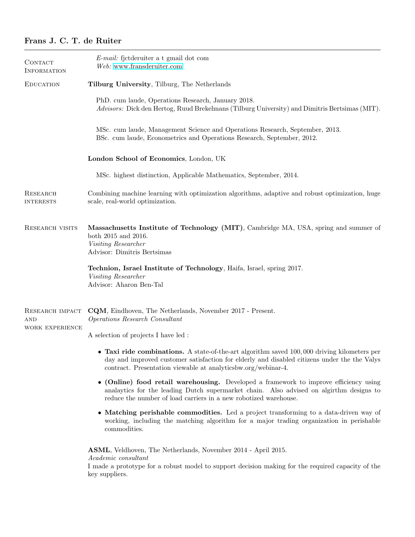# Frans J. C. T. de Ruiter

| CONTACT<br><b>INFORMATION</b>                    | E-mail: fjetderuiter a t gmail dot com<br>Web: www.fransderuiter.com                                                                                                                                                                                           |
|--------------------------------------------------|----------------------------------------------------------------------------------------------------------------------------------------------------------------------------------------------------------------------------------------------------------------|
| <b>EDUCATION</b>                                 | Tilburg University, Tilburg, The Netherlands                                                                                                                                                                                                                   |
|                                                  | PhD. cum laude, Operations Research, January 2018.<br>Advisors: Dick den Hertog, Ruud Brekelmans (Tilburg University) and Dimitris Bertsimas (MIT).                                                                                                            |
|                                                  | MSc. cum laude, Management Science and Operations Research, September, 2013.<br>BSc. cum laude, Econometrics and Operations Research, September, 2012.                                                                                                         |
|                                                  | London School of Economics, London, UK                                                                                                                                                                                                                         |
|                                                  | MSc. highest distinction, Applicable Mathematics, September, 2014.                                                                                                                                                                                             |
| <b>RESEARCH</b><br><b>INTERESTS</b>              | Combining machine learning with optimization algorithms, adaptive and robust optimization, huge<br>scale, real-world optimization.                                                                                                                             |
| <b>RESEARCH VISITS</b>                           | Massachusetts Institute of Technology (MIT), Cambridge MA, USA, spring and summer of<br>both 2015 and 2016.<br>Visiting Researcher<br>Advisor: Dimitris Bertsimas                                                                                              |
|                                                  | Technion, Israel Institute of Technology, Haifa, Israel, spring 2017.<br>Visiting Researcher<br>Advisor: Aharon Ben-Tal                                                                                                                                        |
| RESEARCH IMPACT<br><b>AND</b><br>WORK EXPERIENCE | CQM, Eindhoven, The Netherlands, November 2017 - Present.<br>Operations Research Consultant                                                                                                                                                                    |
|                                                  | A selection of projects I have led :                                                                                                                                                                                                                           |
|                                                  | • Taxi ride combinations. A state-of-the-art algorithm saved $100,000$ driving kilometers per<br>day and improved customer satisfaction for elderly and disabled citizens under the the Valys<br>contract. Presentation viewable at analyticsbw.org/webinar-4. |
|                                                  | • (Online) food retail warehousing. Developed a framework to improve efficiency using<br>analaytics for the leading Dutch supermarket chain. Also advised on algirthm designs to<br>reduce the number of load carriers in a new robotized warehouse.           |
|                                                  | • Matching perishable commodities. Led a project transforming to a data-driven way of<br>working, including the matching algorithm for a major trading organization in perishable<br>commodities.                                                              |
|                                                  | <b>ASML</b> , Veldhoven, The Netherlands, November 2014 - April 2015.<br>Academic consultant<br>I made a prototype for a robust model to support decision making for the required capacity of the<br>key suppliers.                                            |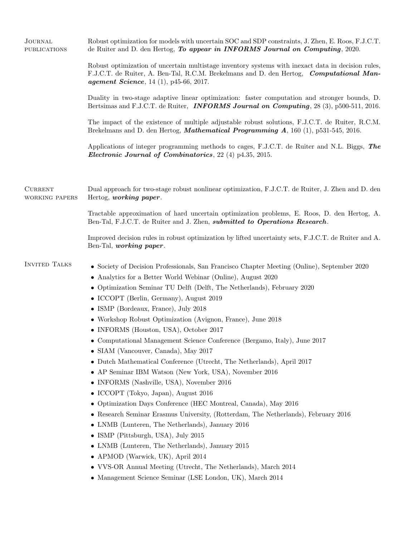| JOURNAL<br><b>PUBLICATIONS</b>   | Robust optimization for models with uncertain SOC and SDP constraints, J. Zhen, E. Roos, F.J.C.T.<br>de Ruiter and D. den Hertog, To appear in INFORMS Journal on Computing, 2020.                                                                                                                                                                                                                                                                                                                                                                                                                                                                                                                                                                                                                                                                                                                                                                                                                                                                                                                                                                                                                                                                                       |
|----------------------------------|--------------------------------------------------------------------------------------------------------------------------------------------------------------------------------------------------------------------------------------------------------------------------------------------------------------------------------------------------------------------------------------------------------------------------------------------------------------------------------------------------------------------------------------------------------------------------------------------------------------------------------------------------------------------------------------------------------------------------------------------------------------------------------------------------------------------------------------------------------------------------------------------------------------------------------------------------------------------------------------------------------------------------------------------------------------------------------------------------------------------------------------------------------------------------------------------------------------------------------------------------------------------------|
|                                  | Robust optimization of uncertain multistage inventory systems with inexact data in decision rules,<br>F.J.C.T. de Ruiter, A. Ben-Tal, R.C.M. Brekelmans and D. den Hertog, <i>Computational Man-</i><br><i>agement Science</i> , 14 (1), p45-66, 2017.                                                                                                                                                                                                                                                                                                                                                                                                                                                                                                                                                                                                                                                                                                                                                                                                                                                                                                                                                                                                                   |
|                                  | Duality in two-stage adaptive linear optimization: faster computation and stronger bounds, D.<br>Bertsimas and F.J.C.T. de Ruiter, <b>INFORMS Journal on Computing</b> , 28 (3), p500-511, 2016.                                                                                                                                                                                                                                                                                                                                                                                                                                                                                                                                                                                                                                                                                                                                                                                                                                                                                                                                                                                                                                                                         |
|                                  | The impact of the existence of multiple adjustable robust solutions, F.J.C.T. de Ruiter, R.C.M.<br>Brekelmans and D. den Hertog, <i>Mathematical Programming A</i> , 160 (1), p531-545, 2016.                                                                                                                                                                                                                                                                                                                                                                                                                                                                                                                                                                                                                                                                                                                                                                                                                                                                                                                                                                                                                                                                            |
|                                  | Applications of integer programming methods to cages, F.J.C.T. de Ruiter and N.L. Biggs, The<br><i>Electronic Journal of Combinatorics</i> , 22 (4) p4.35, 2015.                                                                                                                                                                                                                                                                                                                                                                                                                                                                                                                                                                                                                                                                                                                                                                                                                                                                                                                                                                                                                                                                                                         |
| <b>CURRENT</b><br>WORKING PAPERS | Dual approach for two-stage robust nonlinear optimization, F.J.C.T. de Ruiter, J. Zhen and D. den<br>Hertog, working paper.                                                                                                                                                                                                                                                                                                                                                                                                                                                                                                                                                                                                                                                                                                                                                                                                                                                                                                                                                                                                                                                                                                                                              |
|                                  | Tractable approximation of hard uncertain optimization problems, E. Roos, D. den Hertog, A.<br>Ben-Tal, F.J.C.T. de Ruiter and J. Zhen, <i>submitted to Operations Research</i> .                                                                                                                                                                                                                                                                                                                                                                                                                                                                                                                                                                                                                                                                                                                                                                                                                                                                                                                                                                                                                                                                                        |
|                                  | Improved decision rules in robust optimization by lifted uncertainty sets, F.J.C.T. de Ruiter and A.<br>Ben-Tal, working paper.                                                                                                                                                                                                                                                                                                                                                                                                                                                                                                                                                                                                                                                                                                                                                                                                                                                                                                                                                                                                                                                                                                                                          |
| <b>INVITED TALKS</b>             | • Society of Decision Professionals, San Francisco Chapter Meeting (Online), September 2020<br>• Analytics for a Better World Webinar (Online), August 2020<br>• Optimization Seminar TU Delft (Delft, The Netherlands), February 2020<br>• ICCOPT (Berlin, Germany), August 2019<br>• ISMP (Bordeaux, France), July 2018<br>• Workshop Robust Optimization (Avignon, France), June 2018<br>• INFORMS (Houston, USA), October 2017<br>• Computational Management Science Conference (Bergamo, Italy), June 2017<br>• SIAM (Vancouver, Canada), May 2017<br>• Dutch Mathematical Conference (Utrecht, The Netherlands), April 2017<br>• AP Seminar IBM Watson (New York, USA), November 2016<br>• INFORMS (Nashville, USA), November 2016<br>• ICCOPT (Tokyo, Japan), August 2016<br>• Optimization Days Conference (HEC Montreal, Canada), May 2016<br>• Research Seminar Erasmus University, (Rotterdam, The Netherlands), February 2016<br>• LNMB (Lunteren, The Netherlands), January 2016<br>• ISMP (Pittsburgh, USA), July $2015$<br>• LNMB (Lunteren, The Netherlands), January 2015<br>• APMOD (Warwick, UK), April 2014<br>$\bullet\,$ VVS-OR Annual Meeting (Utrecht, The Netherlands), March 2014<br>• Management Science Seminar (LSE London, UK), March 2014 |